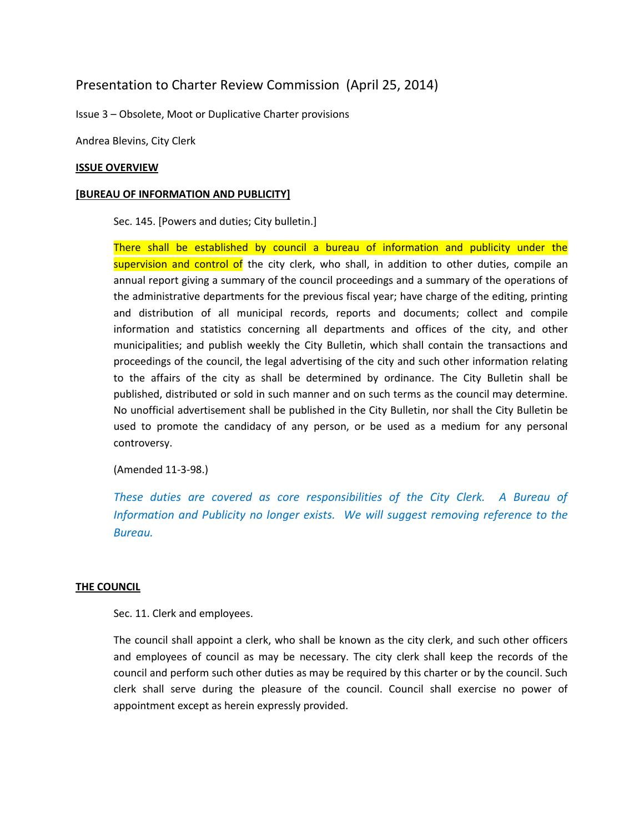# Presentation to Charter Review Commission (April 25, 2014)

Issue 3 – Obsolete, Moot or Duplicative Charter provisions

Andrea Blevins, City Clerk

#### **ISSUE OVERVIEW**

#### **[BUREAU OF INFORMATION AND PUBLICITY]**

Sec. 145. [Powers and duties; City bulletin.]

There shall be established by council a bureau of information and publicity under the supervision and control of the city clerk, who shall, in addition to other duties, compile an annual report giving a summary of the council proceedings and a summary of the operations of the administrative departments for the previous fiscal year; have charge of the editing, printing and distribution of all municipal records, reports and documents; collect and compile information and statistics concerning all departments and offices of the city, and other municipalities; and publish weekly the City Bulletin, which shall contain the transactions and proceedings of the council, the legal advertising of the city and such other information relating to the affairs of the city as shall be determined by ordinance. The City Bulletin shall be published, distributed or sold in such manner and on such terms as the council may determine. No unofficial advertisement shall be published in the City Bulletin, nor shall the City Bulletin be used to promote the candidacy of any person, or be used as a medium for any personal controversy.

(Amended 11-3-98.)

*These duties are covered as core responsibilities of the City Clerk. A Bureau of Information and Publicity no longer exists. We will suggest removing reference to the Bureau.* 

### **THE COUNCIL**

Sec. 11. Clerk and employees.

The council shall appoint a clerk, who shall be known as the city clerk, and such other officers and employees of council as may be necessary. The city clerk shall keep the records of the council and perform such other duties as may be required by this charter or by the council. Such clerk shall serve during the pleasure of the council. Council shall exercise no power of appointment except as herein expressly provided.